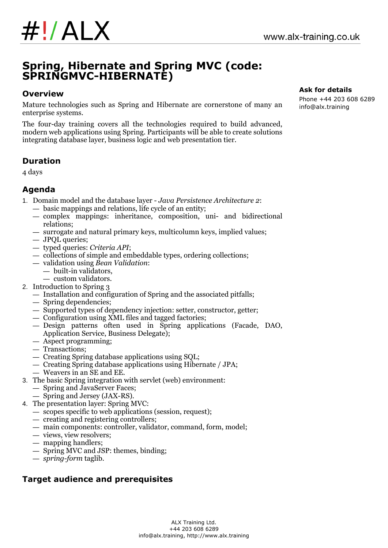# **Spring, Hibernate and Spring MVC (code: SPRINGMVC-HIBERNATE)**

# **Overview**

Mature technologies such as Spring and Hibernate are cornerstone of many an enterprise systems.

The four-day training covers all the technologies required to build advanced, modern web applications using Spring. Participants will be able to create solutions integrating database layer, business logic and web presentation tier.

# **Duration**

4 days

# **Agenda**

- 1. Domain model and the database layer *Java Persistence Architecture 2*:
	- basic mappings and relations, life cycle of an entity;
	- complex mappings: inheritance, composition, uni- and bidirectional relations;
	- surrogate and natural primary keys, multicolumn keys, implied values;
	- JPQL queries;
	- typed queries: *Criteria API*;
	- collections of simple and embeddable types, ordering collections;
	- validation using *Bean Validation*:
		- built-in validators, — custom validators.
- 2. Introduction to Spring 3
	- Installation and configuration of Spring and the associated pitfalls;
	- Spring dependencies;
	- Supported types of dependency injection: setter, constructor, getter;
	- Configuration using XML files and tagged factories;
	- Design patterns often used in Spring applications (Facade, DAO, Application Service, Business Delegate);
	- Aspect programming;
	- Transactions;
	- Creating Spring database applications using SQL;
	- Creating Spring database applications using Hibernate / JPA;
	- Weavers in an SE and EE.
- 3. The basic Spring integration with servlet (web) environment:
	- Spring and JavaServer Faces;
	- Spring and Jersey (JAX-RS).
- 4. The presentation layer: Spring MVC:
	- scopes specific to web applications (session, request);
	- creating and registering controllers;
	- main components: controller, validator, command, form, model;
	- views, view resolvers;
	- mapping handlers;
	- Spring MVC and JSP: themes, binding;
	- *spring-form* taglib.

# **Target audience and prerequisites**

#### **Ask for details**

Phone +44 203 608 6289 info@alx.training